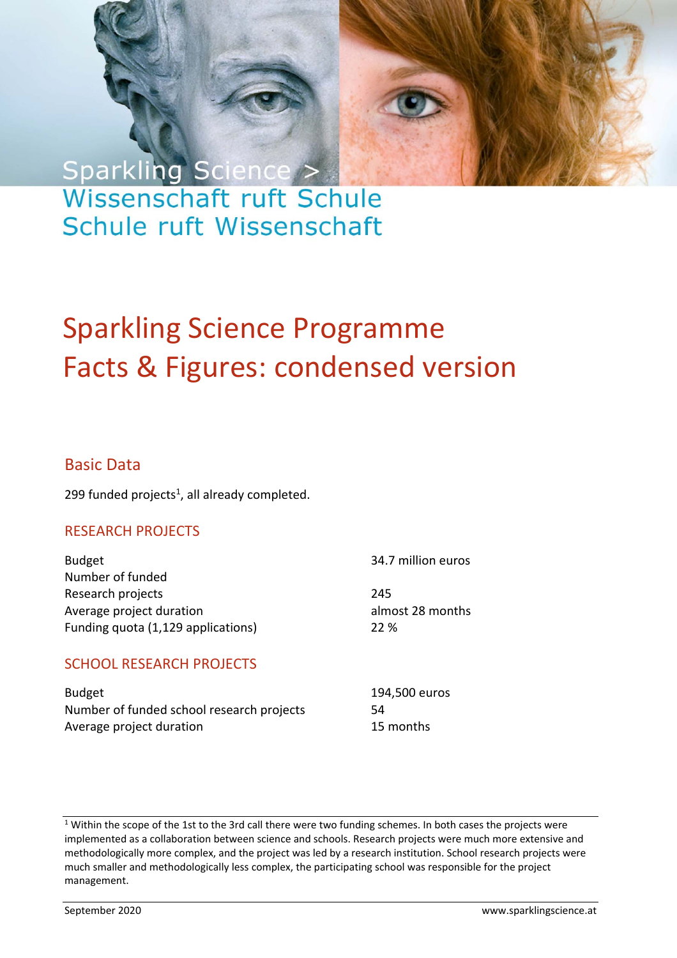# Sparkling Science > Wissenschaft ruft Schule Schule ruft Wissenschaft

# Sparkling Science Programme Facts & Figures: condensed version

Page 1 Facts & Figures 1 Facts & Figures 1 Facts & Figures 1 Facts & Figures 1 Facts & Figures 1 Facts &

### Basic Data

299 funded projects $<sup>1</sup>$ , all already completed.</sup>

#### RESEARCH PROJECTS

Budget **34.7 million euros** Number of funded Research projects 245 Average project duration almost 28 months Funding quota (1,129 applications) 22 %

SCHOOL RESEARCH PROJECTS

Budget 194,500 euros Number of funded school research projects 54 Average project duration **15 months** 

<sup>1</sup> Within the scope of the 1st to the 3rd call there were two funding schemes. In both cases the projects were implemented as a collaboration between science and schools. Research projects were much more extensive and methodologically more complex, and the project was led by a research institution. School research projects were much smaller and methodologically less complex, the participating school was responsible for the project management.